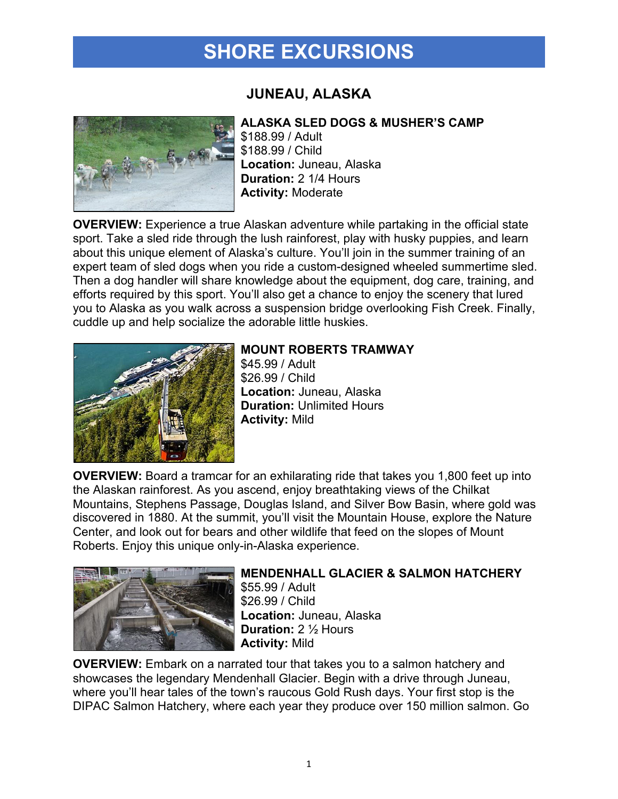## **SHORE EXCURSIONS**

### **JUNEAU, ALASKA**



#### **ALASKA SLED DOGS & MUSHER'S CAMP**

\$188.99 / Adult \$188.99 / Child **Location:** Juneau, Alaska **Duration:** 2 1/4 Hours **Activity:** Moderate

**OVERVIEW:** Experience a true Alaskan adventure while partaking in the official state sport. Take a sled ride through the lush rainforest, play with husky puppies, and learn about this unique element of Alaska's culture. You'll join in the summer training of an expert team of sled dogs when you ride a custom-designed wheeled summertime sled. Then a dog handler will share knowledge about the equipment, dog care, training, and efforts required by this sport. You'll also get a chance to enjoy the scenery that lured you to Alaska as you walk across a suspension bridge overlooking Fish Creek. Finally, cuddle up and help socialize the adorable little huskies.



### **MOUNT ROBERTS TRAMWAY**

\$45.99 / Adult \$26.99 / Child **Location:** Juneau, Alaska **Duration:** Unlimited Hours **Activity:** Mild

**OVERVIEW:** Board a tramcar for an exhilarating ride that takes you 1,800 feet up into the Alaskan rainforest. As you ascend, enjoy breathtaking views of the Chilkat Mountains, Stephens Passage, Douglas Island, and Silver Bow Basin, where gold was discovered in 1880. At the summit, you'll visit the Mountain House, explore the Nature Center, and look out for bears and other wildlife that feed on the slopes of Mount Roberts. Enjoy this unique only-in-Alaska experience.



#### **MENDENHALL GLACIER & SALMON HATCHERY** \$55.99 / Adult \$26.99 / Child **Location:** Juneau, Alaska **Duration:** 2 ½ Hours **Activity:** Mild

**OVERVIEW:** Embark on a narrated tour that takes you to a salmon hatchery and showcases the legendary Mendenhall Glacier. Begin with a drive through Juneau, where you'll hear tales of the town's raucous Gold Rush days. Your first stop is the DIPAC Salmon Hatchery, where each year they produce over 150 million salmon. Go